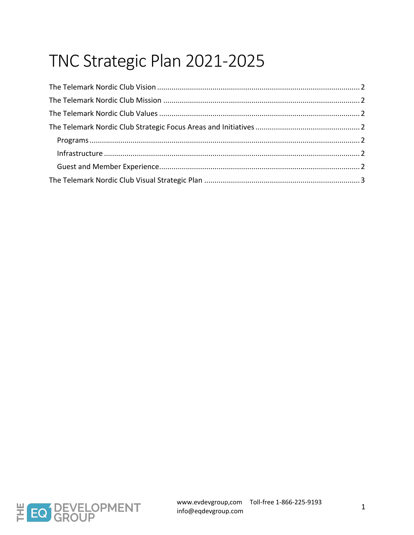# TNC Strategic Plan 2021-2025

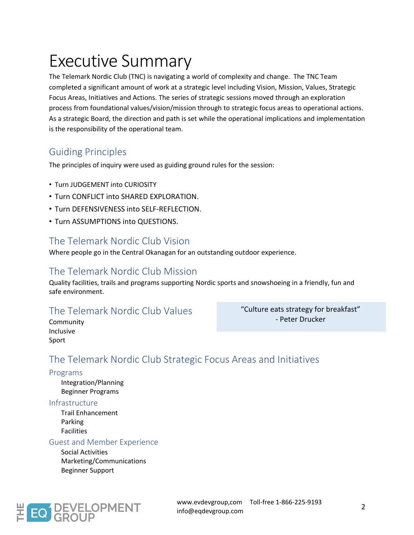# Executive Summary

The Telemark Nordic Club (TNC) is navigating a world of complexity and change. The TNC Team completed a significant amount of work at a strategic level including Vision, Mission, Values, Strategic Focus Areas, Initiatives and Actions. The series of strategic sessions moved through an exploration process from foundational values/vision/mission through to strategic focus areas to operational actions. As a strategic Board, the direction and path is set while the operational implications and implementation is the responsibility of the operational team.

## Guiding Principles

The principles of inquiry were used as guiding ground rules for the session:

- Turn JUDGEMENT into CURIOSITY
- **.** Turn CONFLICT into SHARED EXPLORATION.
- Turn DEFENSIVENESS into SELF-REFLECTION.
- Turn ASSUMPTIONS into QUESTIONS.

## The Telemark Nordic Club Vision

Where people go in the Central Okanagan for an outstanding outdoor experience.

## The Telemark Nordic Club Mission

Quality facilities, trails and programs supporting Nordic sports and snowshoeing in a friendly, fun and safe environment.

## The Telemark Nordic Club Values

"Culture eats strategy for breakfast" - Peter Drucker

Community Inclusive Sport

# The Telemark Nordic Club Strategic Focus Areas and Initiatives

### Programs

Integration/Planning Beginner Programs

### Infrastructure

Trail Enhancement Parking Facilities

### Guest and Member Experience

Social Activities Marketing/Communications Beginner Support